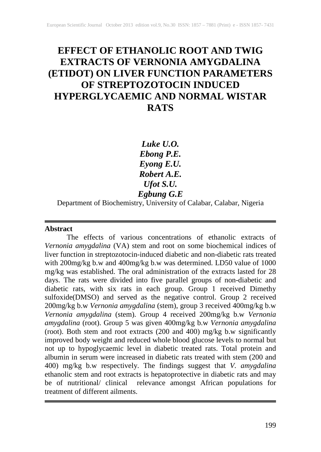# **EFFECT OF ETHANOLIC ROOT AND TWIG EXTRACTS OF VERNONIA AMYGDALINA (ETIDOT) ON LIVER FUNCTION PARAMETERS OF STREPTOZOTOCIN INDUCED HYPERGLYCAEMIC AND NORMAL WISTAR RATS**

*Luke U.O. Ebong P.E. Eyong E.U. Robert A.E. Ufot S.U. Egbung G.E*

Department of Biochemistry, University of Calabar, Calabar, Nigeria

# **Abstract**

The effects of various concentrations of ethanolic extracts of *Vernonia amygdalina* (VA) stem and root on some biochemical indices of liver function in streptozotocin-induced diabetic and non-diabetic rats treated with 200mg/kg b.w and 400mg/kg b.w was determined. LD50 value of 1000 mg/kg was established. The oral administration of the extracts lasted for 28 days. The rats were divided into five parallel groups of non-diabetic and diabetic rats, with six rats in each group. Group 1 received Dimethy sulfoxide(DMSO) and served as the negative control. Group 2 received 200mg/kg b.w *Vernonia amygdalina* (stem), group 3 received 400mg/kg b.w *Vernonia amygdalina* (stem). Group 4 received 200mg/kg b.w *Vernonia amygdalina* (root). Group 5 was given 400mg/kg b.w *Vernonia amygdalina* (root). Both stem and root extracts (200 and 400) mg/kg b.w significantly improved body weight and reduced whole blood glucose levels to normal but not up to hypoglycaemic level in diabetic treated rats. Total protein and albumin in serum were increased in diabetic rats treated with stem (200 and 400) mg/kg b.w respectively. The findings suggest that *V. amygdalina*  ethanolic stem and root extracts is hepatoprotective in diabetic rats and may be of nutritional/ clinical relevance amongst African populations for treatment of different ailments.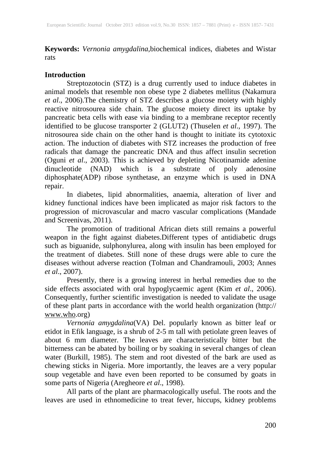**Keywords:** *Vernonia amygdalina*,biochemical indices, diabetes and Wistar rats

# **Introduction**

Streptozotocin (STZ) is a drug currently used to induce diabetes in animal models that resemble non obese type 2 diabetes mellitus (Nakamura *et al*., 2006).The chemistry of STZ describes a glucose moiety with highly reactive nitrosourea side chain. The glucose moiety direct its uptake by pancreatic beta cells with ease via binding to a membrane receptor recently identified to be glucose transporter 2 (GLUT2) (Thuselen *et al*., 1997). The nitrosourea side chain on the other hand is thought to initiate its cytotoxic action. The induction of diabetes with STZ increases the production of free radicals that damage the pancreatic DNA and thus affect insulin secretion (Oguni *et al*., 2003). This is achieved by depleting Nicotinamide adenine a substrate of poly adenosine diphosphate(ADP) ribose synthetase, an enzyme which is used in DNA repair.

In diabetes, lipid abnormalities, anaemia, alteration of liver and kidney functional indices have been implicated as major risk factors to the progression of microvascular and macro vascular complications (Mandade and Screenivas, 2011).

The promotion of traditional African diets still remains a powerful weapon in the fight against diabetes.Different types of antidiabetic drugs such as biguanide, sulphonylurea, along with insulin has been employed for the treatment of diabetes. Still none of these drugs were able to cure the diseases without adverse reaction (Tolman and Chandramouli, 2003; Annes *et al*., 2007).

Presently, there is a growing interest in herbal remedies due to the side effects associated with oral hypoglycaemic agent (Kim *et al*., 2006). Consequently, further scientific investigation is needed to validate the usage of these plant parts in accordance with the world health organization (http:// www.who.org)

*Vernonia amygdalina*(VA) Del. popularly known as bitter leaf or etidot in Efik language, is a shrub of 2-5 m tall with petiolate green leaves of about 6 mm diameter. The leaves are characteristically bitter but the bitterness can be abated by boiling or by soaking in several changes of clean water (Burkill, 1985). The stem and root divested of the bark are used as chewing sticks in Nigeria. More importantly, the leaves are a very popular soup vegetable and have even been reported to be consumed by goats in some parts of Nigeria (Aregheore *et al*., 1998).

All parts of the plant are pharmacologically useful. The roots and the leaves are used in ethnomedicine to treat fever, hiccups, kidney problems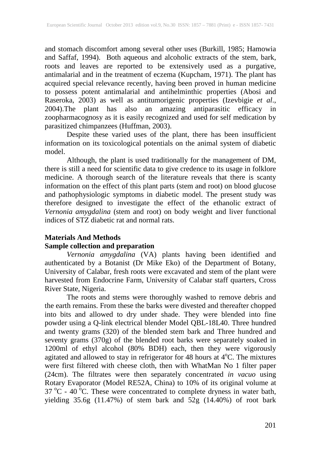and stomach discomfort among several other uses (Burkill, 1985; Hamowia and Saffaf, 1994). Both aqueous and alcoholic extracts of the stem, bark, roots and leaves are reported to be extensively used as a purgative, antimalarial and in the treatment of eczema (Kupcham, 1971). The plant has acquired special relevance recently, having been proved in human medicine to possess potent antimalarial and antihelminthic properties (Abosi and Raseroka, 2003) as well as antitumorigenic properties (Izevbigie *et al*., 2004).The plant has also an amazing antiparasitic efficacy in zoopharmacognosy as it is easily recognized and used for self medication by parasitized chimpanzees (Huffman, 2003).

Despite these varied uses of the plant, there has been insufficient information on its toxicological potentials on the animal system of diabetic model.

Although, the plant is used traditionally for the management of DM, there is still a need for scientific data to give credence to its usage in folklore medicine. A thorough search of the literature reveals that there is scanty information on the effect of this plant parts (stem and root) on blood glucose and pathophysiologic symptoms in diabetic model. The present study was therefore designed to investigate the effect of the ethanolic extract of *Vernonia amygdalina* (stem and root) on body weight and liver functional indices of STZ diabetic rat and normal rats.

# **Materials And Methods Sample collection and preparation**

*Vernonia amygdalina* (VA) plants having been identified and authenticated by a Botanist (Dr Mike Eko) of the Department of Botany, University of Calabar, fresh roots were excavated and stem of the plant were harvested from Endocrine Farm, University of Calabar staff quarters, Cross River State, Nigeria.

The roots and stems were thoroughly washed to remove debris and the earth remains. From these the barks were divested and thereafter chopped into bits and allowed to dry under shade. They were blended into fine powder using a Q-link electrical blender Model QBL-18L40. Three hundred and twenty grams (320) of the blended stem bark and Three hundred and seventy grams (370g) of the blended root barks were separately soaked in 1200ml of ethyl alcohol (80% BDH) each, then they were vigorously agitated and allowed to stay in refrigerator for 48 hours at  $4^{\circ}$ C. The mixtures were first filtered with cheese cloth, then with WhatMan No 1 filter paper (24cm). The filtrates were then separately concentrated *in vacuo* using Rotary Evaporator (Model RE52A, China) to 10% of its original volume at 37 °C - 40 °C. These were concentrated to complete dryness in water bath, yielding 35.6g (11.47%) of stem bark and 52g (14.40%) of root bark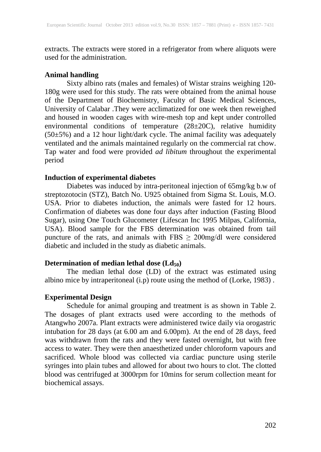extracts. The extracts were stored in a refrigerator from where aliquots were used for the administration.

# **Animal handling**

Sixty albino rats (males and females) of Wistar strains weighing 120- 180g were used for this study. The rats were obtained from the animal house of the Department of Biochemistry, Faculty of Basic Medical Sciences, University of Calabar .They were acclimatized for one week then reweighed and housed in wooden cages with wire-mesh top and kept under controlled environmental conditions of temperature  $(28\pm20)$ , relative humidity  $(50\pm5\%)$  and a 12 hour light/dark cycle. The animal facility was adequately ventilated and the animals maintained regularly on the commercial rat chow. Tap water and food were provided *ad libitum* throughout the experimental period

## **Induction of experimental diabetes**

Diabetes was induced by intra-peritoneal injection of 65mg/kg b.w of streptozotocin (STZ), Batch No. U925 obtained from Sigma St. Louis, M.O. USA. Prior to diabetes induction, the animals were fasted for 12 hours. Confirmation of diabetes was done four days after induction (Fasting Blood Sugar), using One Touch Glucometer (Lifescan Inc 1995 Milpas, California, USA). Blood sample for the FBS determination was obtained from tail puncture of the rats, and animals with  $FBS \geq 200 \text{mg/dl}$  were considered diabetic and included in the study as diabetic animals.

# Determination of median lethal dose (Ld<sub>50</sub>)

The median lethal dose (LD) of the extract was estimated using albino mice by intraperitoneal (i.p) route using the method of (Lorke, 1983) .

# **Experimental Design**

Schedule for animal grouping and treatment is as shown in Table 2. The dosages of plant extracts used were according to the methods of Atangwho 2007a. Plant extracts were administered twice daily via orogastric intubation for 28 days (at 6.00 am and 6.00pm). At the end of 28 days, feed was withdrawn from the rats and they were fasted overnight, but with free access to water. They were then anaesthetized under chloroform vapours and sacrificed. Whole blood was collected via cardiac puncture using sterile syringes into plain tubes and allowed for about two hours to clot. The clotted blood was centrifuged at 3000rpm for 10mins for serum collection meant for biochemical assays.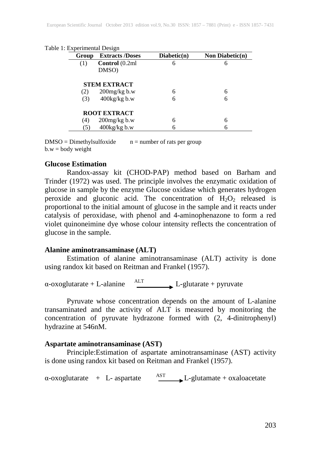| $\mu$ <sub>016</sub> 1. $\mu$ <sub>14</sub> $\mu$ <sub>1414</sub> $\mu$ <sub>14141</sub> $\mu$ <sub>14414</sub> |       |                        |             |                        |
|-----------------------------------------------------------------------------------------------------------------|-------|------------------------|-------------|------------------------|
|                                                                                                                 | Group | <b>Extracts /Doses</b> | Diabetic(n) | <b>Non Diabetic(n)</b> |
|                                                                                                                 | (1)   | Control (0.2ml         | 6           | 6                      |
|                                                                                                                 |       | DMSO)                  |             |                        |
|                                                                                                                 |       | <b>STEM EXTRACT</b>    |             |                        |
|                                                                                                                 | (2)   | $200$ mg/kg b.w        | 6           | 6                      |
|                                                                                                                 | (3)   | $400$ kg/kg b.w        | 6           | 6                      |
|                                                                                                                 |       | <b>ROOT EXTRACT</b>    |             |                        |
|                                                                                                                 | (4)   | $200$ mg/kg b.w        | 6           | 6                      |
|                                                                                                                 | (5)   | 400kg/kg b.w           | 6           | 6                      |

Table 1: Experimental Design

 $DMSO = Dimethylsulfoxide$  n = number of rats per group  $b.w = body weight$ 

#### **Glucose Estimation**

Randox-assay kit (CHOD-PAP) method based on Barham and Trinder (1972) was used. The principle involves the enzymatic oxidation of glucose in sample by the enzyme Glucose oxidase which generates hydrogen peroxide and gluconic acid. The concentration of  $H_2O_2$  released is proportional to the initial amount of glucose in the sample and it reacts under catalysis of peroxidase, with phenol and 4-aminophenazone to form a red violet quinoneimine dye whose colour intensity reflects the concentration of glucose in the sample.

## **Alanine aminotransaminase (ALT)**

Estimation of alanine aminotransaminase (ALT) activity is done using randox kit based on Reitman and Frankel (1957).

 $\alpha$ -oxoglutarate + L-alanine  $\Delta L$ -glutarate + pyruvate

Pyruvate whose concentration depends on the amount of L-alanine transaminated and the activity of ALT is measured by monitoring the concentration of pyruvate hydrazone formed with (2, 4-dinitrophenyl) hydrazine at 546nM.

#### **Aspartate aminotransaminase (AST)**

Principle:Estimation of aspartate aminotransaminase (AST) activity is done using randox kit based on Reitman and Frankel (1957).

 $\alpha$ -oxoglutarate + L- aspartate  $A_{S}$ <sup>AST</sup> L-glutamate + oxaloacetate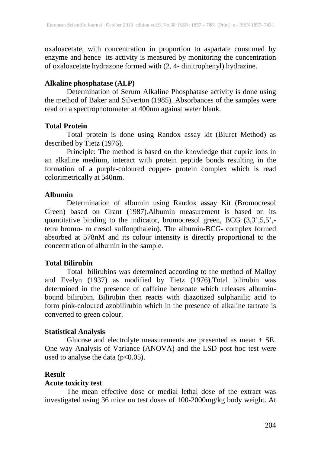oxaloacetate, with concentration in proportion to aspartate consumed by enzyme and hence its activity is measured by monitoring the concentration of oxaloacetate hydrazone formed with (2, 4- dinitrophenyl) hydrazine.

## **Alkaline phosphatase (ALP)**

Determination of Serum Alkaline Phosphatase activity is done using the method of Baker and Silverton (1985). Absorbances of the samples were read on a spectrophotometer at 400nm against water blank.

#### **Total Protein**

Total protein is done using Randox assay kit (Biuret Method) as described by Tietz (1976).

Principle: The method is based on the knowledge that cupric ions in an alkaline medium, interact with protein peptide bonds resulting in the formation of a purple-coloured copper- protein complex which is read colorimetrically at 540nm.

#### **Albumin**

Determination of albumin using Randox assay Kit (Bromocresol Green) based on Grant (1987).Albumin measurement is based on its quantitative binding to the indicator, bromocresol green, BCG (3,3',5,5', tetra bromo- m cresol sulfonpthalein). The albumin-BCG- complex formed absorbed at 578nM and its colour intensity is directly proportional to the concentration of albumin in the sample.

## **Total Bilirubin**

Total bilirubins was determined according to the method of Malloy and Evelyn (1937) as modified by Tietz (1976).Total bilirubin was determined in the presence of caffeine benzoate which releases albuminbound bilirubin. Bilirubin then reacts with diazotized sulphanilic acid to form pink-coloured azobilirubin which in the presence of alkaline tartrate is converted to green colour.

## **Statistical Analysis**

Glucose and electrolyte measurements are presented as mean  $\pm$  SE. One way Analysis of Variance (ANOVA) and the LSD post hoc test were used to analyse the data  $(p<0.05)$ .

## **Result**

#### **Acute toxicity test**

The mean effective dose or medial lethal dose of the extract was investigated using 36 mice on test doses of 100-2000mg/kg body weight. At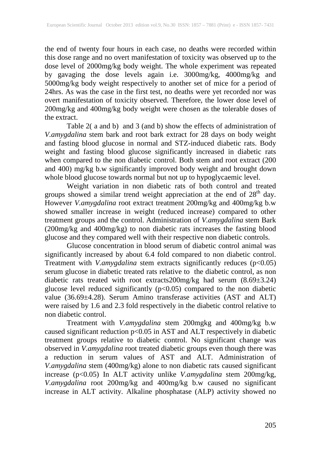the end of twenty four hours in each case, no deaths were recorded within this dose range and no overt manifestation of toxicity was observed up to the dose level of 2000mg/kg body weight. The whole experiment was repeated by gavaging the dose levels again i.e. 3000mg/kg, 4000mg/kg and 5000mg/kg body weight respectively to another set of mice for a period of  $24$ hrs. As was the case in the first test, no deaths were yet recorded nor was overt manifestation of toxicity observed. Therefore, the lower dose level of 200mg/kg and 400mg/kg body weight were chosen as the tolerable doses of the extract.

Table 2( a and b) and 3 (and b) show the effects of administration of *V.amygdalina* stem bark and root bark extract for 28 days on body weight and fasting blood glucose in normal and STZ-induced diabetic rats. Body weight and fasting blood glucose significantly increased in diabetic rats when compared to the non diabetic control. Both stem and root extract (200 and 400) mg/kg b.w significantly improved body weight and brought down whole blood glucose towards normal but not up to hypoglycaemic level.

Weight variation in non diabetic rats of both control and treated groups showed a similar trend weight appreciation at the end of  $28<sup>th</sup>$  day. However *V.amygdalina* root extract treatment 200mg/kg and 400mg/kg b.w showed smaller increase in weight (reduced increase) compared to other treatment groups and the control. Administration of *V.amygdalina* stem Bark (200mg/kg and 400mg/kg) to non diabetic rats increases the fasting blood glucose and they compared well with their respective non diabetic controls.

Glucose concentration in blood serum of diabetic control animal was significantly increased by about 6.4 fold compared to non diabetic control. Treatment with *V.amygdalina* stem extracts significantly reduces (p<0.05) serum glucose in diabetic treated rats relative to the diabetic control, as non diabetic rats treated with root extracts200mg/kg had serum (8.69±3.24) glucose level reduced significantly (p<0.05) compared to the non diabetic value (36.69±4.28). Serum Amino transferase activities (AST and ALT) were raised by 1.6 and 2.3 fold respectively in the diabetic control relative to non diabetic control.

Treatment with *V.amygdalina* stem 200mgkg and 400mg/kg b.w caused significant reduction p<0.05 in AST and ALT respectively in diabetic treatment groups relative to diabetic control. No significant change was observed in *V.amygdalina* root treated diabetic groups even though there was a reduction in serum values of AST and ALT. Administration of *V.amygdalina* stem (400mg/kg) alone to non diabetic rats caused significant increase (p<0.05) In ALT activity unlike *V.amygdalina* stem 200mg/kg, *V.amygdalina* root 200mg/kg and 400mg/kg b.w caused no significant increase in ALT activity. Alkaline phosphatase (ALP) activity showed no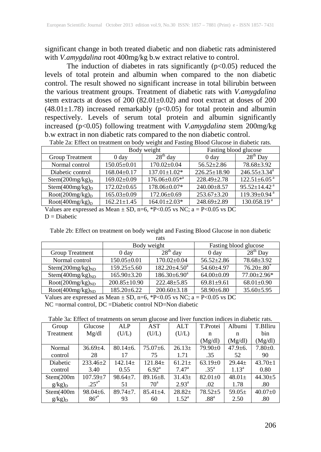significant change in both treated diabetic and non diabetic rats administered with *V.amygdalina* root 400mg/kg b.w extract relative to control.

The induction of diabetes in rats significantly  $(p<0.05)$  reduced the levels of total protein and albumin when compared to the non diabetic control. The result showed no significant increase in total bilirubin between the various treatment groups. Treatment of diabetic rats with *V.amygdalina* stem extracts at doses of 200 (82.01±0.02) and root extract at doses of 200  $(48.01\pm1.78)$  increased remarkably (p<0.05) for total protein and albumin respectively. Levels of serum total protein and albumin significantly increased (p<0.05) following treatment with *V.amygdalina* stem 200mg/kg b.w extract in non diabetic rats compared to the non diabetic control.

|                             |                   | Body weight            | Fasting blood glucose |                                |  |
|-----------------------------|-------------------|------------------------|-----------------------|--------------------------------|--|
| <b>Group Treatment</b>      | 0 day             | $28th$ day             | 0 day                 | $28th$ Day                     |  |
| Normal control              | 150.05±0.01       | $170.02 \pm 0.04$      | $56.52 \pm 2.86$      | $78.68 \pm 3.92$               |  |
| Diabetic control            | $168.04 \pm 0.17$ | $137.01 \pm 1.02*$     | $226.25 \pm 18.90$    | $246.55 \pm 3.34^{\text{a}}$   |  |
| Stem(200mg/kg) <sub>D</sub> | $169.02 \pm 0.09$ | $176.06 \pm 0.05^{*a}$ | 228.49±2.78           | $122.51 \pm 6.05$ <sup>a</sup> |  |
| Stem(400mg/kg) <sub>D</sub> | $172.02 \pm 0.65$ | $178.06 \pm 0.07*$     | $240.00 \pm 8.57$     | $95.52 \pm 14.42$ <sup>a</sup> |  |
| Root(200mg/kg) <sub>D</sub> | 165.03±0.09       | $172.06 \pm 0.69$      | $253.67 \pm 3.20$     | $119.39 \pm 0.94$ <sup>a</sup> |  |
| Root(400mg/kg) <sub>D</sub> | $162.21 \pm 1.45$ | $164.01 \pm 2.03*$     | 248.69±2.89           | 130.058.19 <sup>a</sup>        |  |

Table 2a: Effect on treatment on body weight and Fasting Blood Glucose in diabetic rats.

Values are expressed as Mean  $\pm$  SD, n=6, \*P<0.05 vs NC; a = P<0.05 vs DC  $D = Diabetic$ 

| Table 2b: Effect on treatment on body weight and Fasting Blood Glucose in non diabetic |  |  |  |
|----------------------------------------------------------------------------------------|--|--|--|
|                                                                                        |  |  |  |

| Tats                   |                    |                              |                       |                   |  |  |  |  |  |
|------------------------|--------------------|------------------------------|-----------------------|-------------------|--|--|--|--|--|
|                        | Body weight        |                              | Fasting blood glucose |                   |  |  |  |  |  |
| <b>Group Treatment</b> | 0 day              | $28th$ day                   | 0 <sub>day</sub>      | $28th$ Day        |  |  |  |  |  |
| Normal control         | $150.05 \pm 0.01$  | $170.02 \pm 0.04$            | $56.52 + 2.86$        | $78.68 \pm 3.92$  |  |  |  |  |  |
| $Stem(200mg/kg)_{ND}$  | $159.25 \pm 5.60$  | $182.20 \pm 4.50^{\circ}$    | $54.60 + 4.97$        | $76.20 \pm .80$   |  |  |  |  |  |
| $Stem(400mg/kg)_{ND}$  | $165.90 \pm 3.20$  | $186.30\pm6.90^{\mathrm{a}}$ | $64.00\pm0.09$        | $77.00 \pm 2.96*$ |  |  |  |  |  |
| $Root(200mg/kg)_{ND}$  | $200.85 \pm 10.90$ | $222.48 \pm 5.85$            | $69.81 + 9.61$        | $68.01 \pm 0.90$  |  |  |  |  |  |
| $Root(400mg/kg)_{ND}$  | $185.20 \pm 6.22$  | $200.60 \pm 3.18$            | $58.90\pm 6.80$       | $35.60 \pm 5.95$  |  |  |  |  |  |

Values are expressed as Mean  $\pm$  SD, n=6, \*P<0.05 vs NC; a = P<0.05 vs DC NC =normal control, DC =Diabetic control ND=Non diabetic

Table 3a: Effect of treatments on serum glucose and liver function indices in diabetic rats.

| Group             | Glucose        | <b>ALP</b>     | <b>AST</b>      | <b>ALT</b>     | T.Protei         | Albumi        | T.BIliru      |
|-------------------|----------------|----------------|-----------------|----------------|------------------|---------------|---------------|
| Treatment         | Mg/dl          | (U/L)          | (U/L)           | (U/L)          | n                | n             | bin           |
|                   |                |                |                 |                | (Mg/dl)          | (Mg/dl)       | (Mg/dl)       |
| Normal            | $36.69{\pm}4.$ | $80.14 \pm 6.$ | $75.07\pm 6.$   | $26.13+$       | $79.90 \pm 0$    | $47.9 \pm 6.$ | $7.80+0.$     |
| control           | 28             | 17             | 75              | 1.71           | .35              | 52            | 90            |
| Diabetic          | $233.46 \pm 2$ | $142.14+$      | $121.84\pm$     | $61.21 \pm$    | $63.19 \pm 0$    | $29.44 \pm$   | $43.70 \pm 1$ |
| control           | 3.40           | 0.55           | $6.92^{\rm a}$  | $7.47^{\rm a}$ | $.35^{\circ}$    | $1.13^a$      | 0.80          |
| Stem(200m)        | $107.59 + 7$   | $98.64 \pm 7.$ | $89.16 \pm 8.$  | $31.43 \pm$    | $82.01 \pm 0$    | $48.01 \pm$   | $44.30 \pm 5$ |
| g/kg <sub>D</sub> | $.25^{a*}$     | 51             | 70 <sup>a</sup> | $2.93^{\rm a}$ | .02              | 1.78          | .80           |
| Stem(400m         | $98.04 \pm 6.$ | $89.74 \pm 7.$ | $85.41 \pm 4.$  | $28.82+$       | $78.52 + 5$      | 59.05 $\pm$   | $40.07 \pm 0$ |
| g/kg <sub>D</sub> | $86^{a*}$      | 93             | 60              | $1.52^{\rm a}$ | .88 <sup>a</sup> | 2.50          | .80           |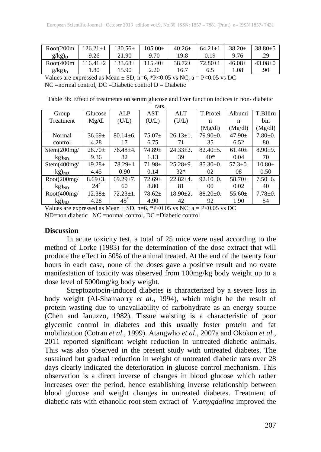| Root(200m    | $126.21 \pm 1$ | $130.56\pm$          | $105.00 \pm$                         | $40.26 \pm$  | $64.21 \pm 1$             | $38.20 \pm$  | $38.80{\pm}5$ |
|--------------|----------------|----------------------|--------------------------------------|--------------|---------------------------|--------------|---------------|
| $g/kg)_{D}$  | 9.26           | 21.90                | 9.70                                 | 19.8         | በ 19                      | 9.76         | .29           |
| Root(400m)   | $116.41 \pm 2$ | $133.68 \pm$         | $115.40 \pm$                         | $38.72+$     | $72.80 \pm 1$             | $46.08 \pm$  | $43.08 \pm 0$ |
| $g/kg)_{D}$  | 1.80           | 15.90                | 2.20                                 | 16.7         | 6.5                       | 1.08         | .90           |
| <b>Y</b> 7 1 |                | $\sim$ $\sim$ $\sim$ | $\sim$ $\omega$ $\sim$ $\sim$ $\sim$ | $\mathbf{r}$ | $\mathbf{R}$ $\mathbf{A}$ | $\mathbf{r}$ |               |

Values are expressed as Mean  $\pm$  SD, n=6, \*P<0.05 vs NC; a = P<0.05 vs DC  $NC = normal$  control,  $DC = Diabetic$  control  $D = Diabetic$ 

Table 3b: Effect of treatments on serum glucose and liver function indices in non- diabetic rats.

| Group            | Glucose       | <b>ALP</b>     | <b>AST</b>  | <b>ALT</b>     | T.Protei       | Albumi        | T.BIliru      |
|------------------|---------------|----------------|-------------|----------------|----------------|---------------|---------------|
| <b>Treatment</b> | Mg/dl         | (U/L)          | (U/L)       | (U/L)          | n              | n             | bin           |
|                  |               |                |             |                | (Mg/dl)        | (Mg/dl)       | (Mg/dl)       |
| Normal           | $36.69 \pm$   | $80.14 \pm 6.$ | $75.07+$    | $26.13 \pm 1.$ | $79.90 \pm 0.$ | $47.90 \pm$   | $7.80+0.$     |
| control          | 4.28          | 17             | 6.75        | 71             | 35             | 6.52          | 80            |
| Stem(200mg)      | $28.70+$      | $76.48{\pm}4.$ | $74.89 +$   | $24.33 \pm 2.$ | $82.40 + 5.$   | $61.40 \pm$   | $8.90+9.$     |
| $kg)_{ND}$       | 9.36          | 82             | 1.13        | 39             | $40*$          | 0.04          | 70            |
| Stem(400mg)      | $19.28 \pm$   | $78.29 \pm 1$  | $71.98 \pm$ | $25.28 + 9.$   | $85.30 \pm 0.$ | $57.3 \pm 0.$ | $10.80+$      |
| $kg)_{ND}$       | 4.45          | 0.90           | 0.14        | $32*$          | 02             | 08            | 0.50          |
| Root(200mg/      | $8.69 \pm 3.$ | $69.29 \pm 7.$ | $72.69 \pm$ | $22.82 + 4.$   | $92.10 \pm 0.$ | 58.70 $\pm$   | $7.50 + 6.$   |
| $kg)_{ND}$       | $24^*$        | 60             | 8.80        | 81             | 00             | 0.02          | 40            |
| Root(400mg)      | $12.38+$      | $72.23 \pm 1.$ | $78.62 \pm$ | $18.90 \pm 2.$ | $88.20 \pm 0.$ | 55.60 $\pm$   | $7.78 \pm 0.$ |
| $kg)_{ND}$       | 4.28          | $45^{\degree}$ | 4.90        | 42             | 92             | 1.90          | 54            |

Values are expressed as Mean  $\pm$  SD, n=6, \*P<0.05 vs NC; a = P<0.05 vs DC ND=non diabetic NC =normal control, DC =Diabetic control

## **Discussion**

In acute toxicity test, a total of 25 mice were used according to the method of Lorke (1983) for the determination of the dose extract that will produce the effect in 50% of the animal treated. At the end of the twenty four hours in each case, none of the doses gave a positive result and no ovate manifestation of toxicity was observed from 100mg/kg body weight up to a dose level of 5000mg/kg body weight.

Streptozotocin-induced diabetes is characterized by a severe loss in body weight (Al-Shamaorry *et al*., 1994), which might be the result of protein wasting due to unavailability of carbohydrate as an energy source (Chen and Ianuzzo, 1982). Tissue waisting is a characteristic of poor glycemic control in diabetes and this usually foster protein and fat mobilization (Cotran *et al*., 1999). Atangwho *et al*., 2007a and Okokon *et al.*, 2011 reported significant weight reduction in untreated diabetic animals. This was also observed in the present study with untreated diabetes. The sustained but gradual reduction in weight of untreated diabetic rats over 28 days clearly indicated the deterioration in glucose control mechanism. This observation is a direct inverse of changes in blood glucose which rather increases over the period, hence establishing inverse relationship between blood glucose and weight changes in untreated diabetes. Treatment of diabetic rats with ethanolic root stem extract of *V.amygdalina* improved the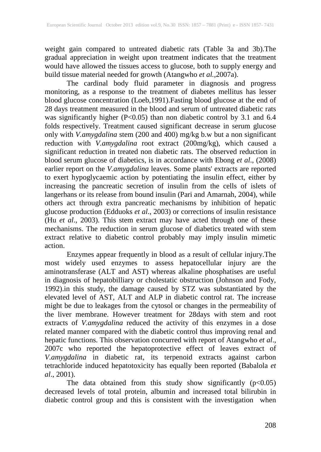weight gain compared to untreated diabetic rats (Table 3a and 3b).The gradual appreciation in weight upon treatment indicates that the treatment would have allowed the tissues access to glucose, both to supply energy and build tissue material needed for growth (Atangwho *et al.*,2007a).

The cardinal body fluid parameter in diagnosis and progress monitoring, as a response to the treatment of diabetes mellitus has lesser blood glucose concentration (Loeb,1991).Fasting blood glucose at the end of 28 days treatment measured in the blood and serum of untreated diabetic rats was significantly higher (P<0.05) than non diabetic control by 3.1 and 6.4 folds respectively. Treatment caused significant decrease in serum glucose only with *V.amygdalina* stem (200 and 400) mg/kg b.w but a non significant reduction with *V.amygdalina* root extract (200mg/kg), which caused a significant reduction in treated non diabetic rats. The observed reduction in blood serum glucose of diabetics, is in accordance with Ebong *et al*., (2008) earlier report on the *V.amygdalina* leaves. Some plants' extracts are reported to exert hypoglycaemic action by potentiating the insulin effect, either by increasing the pancreatic secretion of insulin from the cells of islets of langerhans or its release from bound insulin (Pari and Amarnah, 2004), while others act through extra pancreatic mechanisms by inhibition of hepatic glucose production (Edduoks *et al*., 2003) or corrections of insulin resistance (Hu *et al*., 2003). This stem extract may have acted through one of these mechanisms. The reduction in serum glucose of diabetics treated with stem extract relative to diabetic control probably may imply insulin mimetic action.

Enzymes appear frequently in blood as a result of cellular injury.The most widely used enzymes to assess hepatocellular injury are the aminotransferase (ALT and AST) whereas alkaline phosphatises are useful in diagnosis of hepatobilliary or cholestatic obstruction (Johnson and Fody, 1992).in this study, the damage caused by STZ was substantiated by the elevated level of AST, ALT and ALP in diabetic control rat. The increase might be due to leakages from the cytosol or changes in the permeability of the liver membrane. However treatment for 28days with stem and root extracts of *V.amygdalina* reduced the activity of this enzymes in a dose related manner compared with the diabetic control thus improving renal and hepatic functions. This observation concurred with report of Atangwho *et al*., 2007c who reported the hepatoprotective effect of leaves extract of *V.amygdalina* in diabetic rat, its terpenoid extracts against carbon tetrachloride induced hepatotoxicity has equally been reported (Babalola *et al*., 2001).

The data obtained from this study show significantly  $(p<0.05)$ decreased levels of total protein, albumin and increased total bilirubin in diabetic control group and this is consistent with the investigation when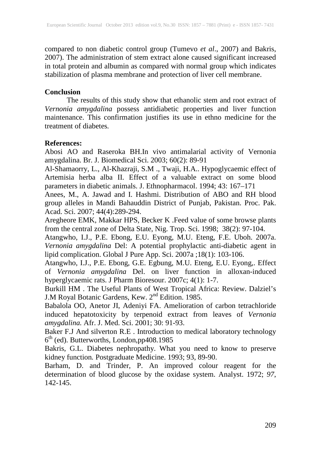compared to non diabetic control group (Tumevo *et al*., 2007) and Bakris, 2007). The administration of stem extract alone caused significant increased in total protein and albumin as compared with normal group which indicates stabilization of plasma membrane and protection of liver cell membrane.

# **Conclusion**

The results of this study show that ethanolic stem and root extract of *Vernonia amygdalina* possess antidiabetic properties and liver function maintenance. This confirmation justifies its use in ethno medicine for the treatment of diabetes*.*

# **References:**

Abosi AO and Raseroka BH.In vivo antimalarial activity of Vernonia amygdalina. Br. J. Biomedical Sci. 2003; 60(2): 89-91

Al-Shamaorry, L., Al-Khazraji, S.M ., Twaji, H.A.. Hypoglycaemic effect of Artemisia herba alba II. Effect of a valuable extract on some blood parameters in diabetic animals. J. Ethnopharmacol. 1994; 43: 167–171

Anees, M., A. Jawad and I. Hashmi. Distribution of ABO and RH blood group alleles in Mandi Bahauddin District of Punjab, Pakistan. Proc. Pak. Acad. Sci. 2007; 44(4):289-294.

Aregheore EMK, Makkar HPS, Becker K .Feed value of some browse plants from the central zone of Delta State, Nig. Trop. Sci. 1998; 38(2): 97-104.

Atangwho, I.J., P.E. Ebong, E.U. Eyong, M.U. Eteng, F.E. Uboh. 2007a. *Vernonia amygdalina* Del: A potential prophylactic anti-diabetic agent in lipid complication. Global J Pure App. Sci. 2007a ;18(1): 103-106.

Atangwho, I.J., P.E. Ebong, G.E. Egbung, M.U. Eteng, E.U. Eyong,. Effect of *Vernonia amygdalina* Del. on liver function in alloxan-induced hyperglycaemic rats. J Pharm Bioresour. 2007c; 4(1): 1-7.

Burkill HM . The Useful Plants of West Tropical Africa: Review. Dalziel's J.M Royal Botanic Gardens, Kew. 2<sup>nd</sup> Edition. 1985.

Babalola OO, Anetor JI, Adeniyi FA. Amelioration of carbon tetrachloride induced hepatotoxicity by terpenoid extract from leaves of *Vernonia amygdalina.* Afr. J. Med. Sci. 2001; 30: 91-93.

Baker F.J And silverton R.E . Introduction to medical laboratory technology  $6<sup>th</sup>$  (ed). Butterworths, London,pp408.1985

Bakris, G.L. Diabetes nephropathy. What you need to know to preserve kidney function*.* Postgraduate Medicine. 1993; 93, 89-90.

Barham, D. and Trinder, P. An improved colour reagent for the determination of blood glucose by the oxidase system. Analyst. 1972; *97*, 142-145.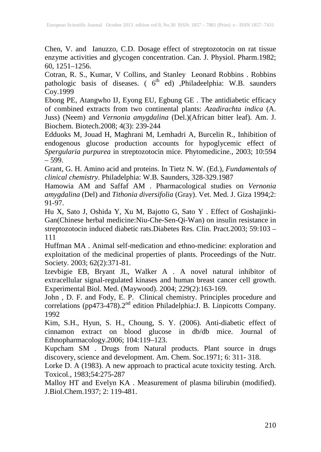Chen, V. and Ianuzzo, C.D. Dosage effect of streptozotocin on rat tissue enzyme activities and glycogen concentration. Can. J. Physiol. Pharm.1982; 60, 1251–1256.

Cotran, R. S., Kumar, V Collins, and Stanley Leonard Robbins . Robbins pathologic basis of diseases.  $(6<sup>th</sup> ed)$ , Philadeelphia: W.B. saunders Coy.1999

Ebong PE, Atangwho IJ, Eyong EU, Egbung GE . The antidiabetic efficacy of combined extracts from two continental plants: *Azadirachta indica* (A. Juss) (Neem) and *Vernonia amygdalina* (Del.)(African bitter leaf). Am. J. Biochem. Biotech.2008; 4(3): 239-244

Edduoks M, Jouad H, Maghrani M, Lemhadri A, Burcelin R., Inhibition of endogenous glucose production accounts for hypoglycemic effect of *Spergularia purpurea* in streptozotocin mice. Phytomedicine*.,* 2003; 10:594 – 599.

Grant, G. H. Amino acid and proteins. In Tietz N. W. (Ed.), *Fundamentals of clinical chemistry*. Philadelphia: W.B. Saunders, 328-329.1987

Hamowia AM and Saffaf AM . Pharmacological studies on *Vernonia amygdalina* (Del) and *Tithonia diversifolia* (Gray). Vet. Med. J. Giza 1994;2: 91-97.

Hu X, Sato J, Oshida Y, Xu M, Bajotto G, Sato Y . Effect of Goshajinki-Gan(Chinese herbal medicine:Niu-Che-Sen-Qi-Wan) on insulin resistance in streptozotocin induced diabetic rats.Diabetes Res*.* Clin*.* Pract*.*2003; 59:103 – 111

Huffman MA . Animal self-medication and ethno-medicine: exploration and exploitation of the medicinal properties of plants. Proceedings of the Nutr. Society. 2003; 62(2):371-81.

Izevbigie EB, Bryant JL, Walker A . A novel natural inhibitor of extracellular signal-regulated kinases and human breast cancer cell growth. Experimental Biol. Med. (Maywood). 2004; 229(2):163-169.

John , D. F. and Fody, E. P. Clinical chemistry. Principles procedure and correlations (pp473-478). $2<sup>nd</sup>$  edition Philadelphia: J. B. Linpicotts Company. 1992

Kim, S.H., Hyun, S. H., Choung, S. Y. (2006). Anti-diabetic effect of cinnamon extract on blood glucose in db/db mice. Journal of Ethnopharmacology.2006; 104:119–123.

Kupcham SM . Drugs from Natural products. Plant source in drugs discovery, science and development. Am. Chem. Soc.1971; 6: 311- 318.

Lorke D. A (1983). A new approach to practical acute toxicity testing. Arch*.*  Toxicol*.,* 1983;54:275-287

Malloy HT and Evelyn KA . Measurement of plasma bilirubin (modified). J.Biol.Chem.1937; 2: 119-481.